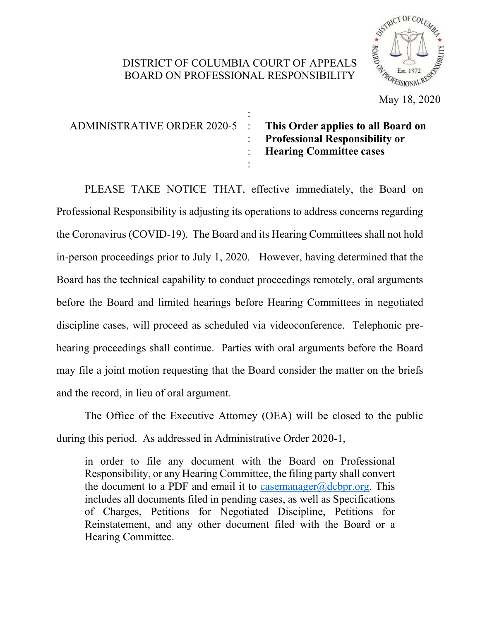## DISTRICT OF COLUMBIA COURT OF APPEALS BOARD ON PROFESSIONAL RESPONSIBILITY



May 18, 2020

| ADMINISTRATIVE ORDER 2020-5 : This Order applies to all Board on | <b>Professional Responsibility or</b><br>: Hearing Committee cases |
|------------------------------------------------------------------|--------------------------------------------------------------------|
|                                                                  |                                                                    |

PLEASE TAKE NOTICE THAT, effective immediately, the Board on Professional Responsibility is adjusting its operations to address concerns regarding the Coronavirus (COVID-19). The Board and its Hearing Committees shall not hold in-person proceedings prior to July 1, 2020. However, having determined that the Board has the technical capability to conduct proceedings remotely, oral arguments before the Board and limited hearings before Hearing Committees in negotiated discipline cases, will proceed as scheduled via videoconference. Telephonic prehearing proceedings shall continue. Parties with oral arguments before the Board may file a joint motion requesting that the Board consider the matter on the briefs and the record, in lieu of oral argument.

The Office of the Executive Attorney (OEA) will be closed to the public during this period. As addressed in Administrative Order 2020-1,

in order to file any document with the Board on Professional Responsibility, or any Hearing Committee, the filing party shall convert the document to a PDF and email it to [casemanager@dcbpr.org.](mailto:casemanager@dcbpr.org.) This includes all documents filed in pending cases, as well as Specifications of Charges, Petitions for Negotiated Discipline, Petitions for Reinstatement, and any other document filed with the Board or a Hearing Committee.